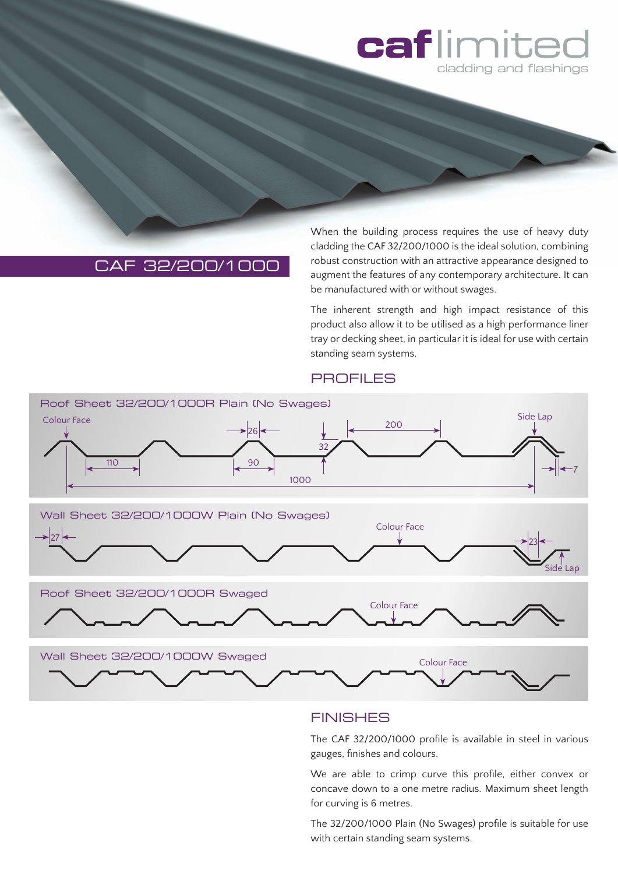

# CAF 32/200/1000

When the building process requires the use of heavy duty cladding the CAF 32/200/1000 is the ideal solution, combining robust construction with an attractive appearance designed to augment the features of any contemporary architecture. It can be manufactured with or without swages.

The inherent strength and high impact resistance of this product also allow it to be utilised as a high performance liner tray or decking sheet, in particular it is ideal for use with certain standing seam systems.

#### **PROFILES**



### **FINISHES**

The CAF 32/200/1000 profile is available in steel in various gauges, finishes and colours.

We are able to crimp curve this profile, either convex or concave down to a one metre radius. Maximum sheet length for curving is 6 metres.

The 32/200/1000 Plain (No Swages) profile is suitable for use with certain standing seam systems.